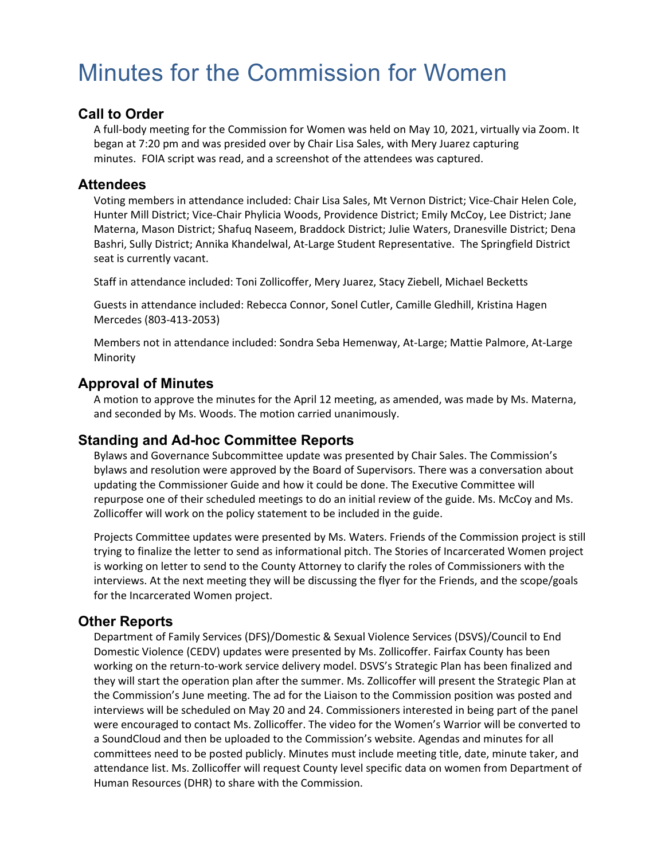# Minutes for the Commission for Women

#### **Call to Order**

A full-body meeting for the Commission for Women was held on May 10, 2021, virtually via Zoom. It began at 7:20 pm and was presided over by Chair Lisa Sales, with Mery Juarez capturing minutes. FOIA script was read, and a screenshot of the attendees was captured.

#### **Attendees**

Voting members in attendance included: Chair Lisa Sales, Mt Vernon District; Vice-Chair Helen Cole, Hunter Mill District; Vice-Chair Phylicia Woods, Providence District; Emily McCoy, Lee District; Jane Materna, Mason District; Shafuq Naseem, Braddock District; Julie Waters, Dranesville District; Dena Bashri, Sully District; Annika Khandelwal, At-Large Student Representative. The Springfield District seat is currently vacant.

Staff in attendance included: Toni Zollicoffer, Mery Juarez, Stacy Ziebell, Michael Becketts

Guests in attendance included: Rebecca Connor, Sonel Cutler, Camille Gledhill, Kristina Hagen Mercedes (803-413-2053)

Members not in attendance included: Sondra Seba Hemenway, At-Large; Mattie Palmore, At-Large Minority

### **Approval of Minutes**

A motion to approve the minutes for the April 12 meeting, as amended, was made by Ms. Materna, and seconded by Ms. Woods. The motion carried unanimously.

#### **Standing and Ad-hoc Committee Reports**

Bylaws and Governance Subcommittee update was presented by Chair Sales. The Commission's bylaws and resolution were approved by the Board of Supervisors. There was a conversation about updating the Commissioner Guide and how it could be done. The Executive Committee will repurpose one of their scheduled meetings to do an initial review of the guide. Ms. McCoy and Ms. Zollicoffer will work on the policy statement to be included in the guide.

Projects Committee updates were presented by Ms. Waters. Friends of the Commission project is still trying to finalize the letter to send as informational pitch. The Stories of Incarcerated Women project is working on letter to send to the County Attorney to clarify the roles of Commissioners with the interviews. At the next meeting they will be discussing the flyer for the Friends, and the scope/goals for the Incarcerated Women project.

#### **Other Reports**

Department of Family Services (DFS)/Domestic & Sexual Violence Services (DSVS)/Council to End Domestic Violence (CEDV) updates were presented by Ms. Zollicoffer. Fairfax County has been working on the return-to-work service delivery model. DSVS's Strategic Plan has been finalized and they will start the operation plan after the summer. Ms. Zollicoffer will present the Strategic Plan at the Commission's June meeting. The ad for the Liaison to the Commission position was posted and interviews will be scheduled on May 20 and 24. Commissioners interested in being part of the panel were encouraged to contact Ms. Zollicoffer. The video for the Women's Warrior will be converted to a SoundCloud and then be uploaded to the Commission's website. Agendas and minutes for all committees need to be posted publicly. Minutes must include meeting title, date, minute taker, and attendance list. Ms. Zollicoffer will request County level specific data on women from Department of Human Resources (DHR) to share with the Commission.